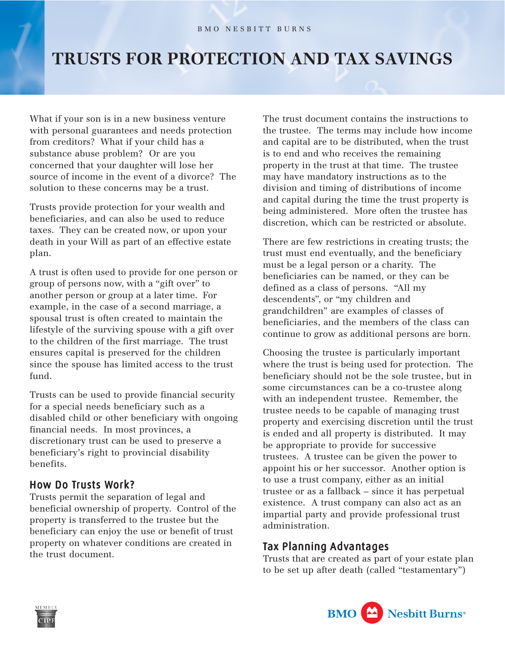## **TRUSTS FOR PROTECTION AND TAX SAVINGS**

What if your son is in a new business venture with personal guarantees and needs protection from creditors? What if your child has a substance abuse problem? Or are you concerned that your daughter will lose her source of income in the event of a divorce? The solution to these concerns may be a trust.

Trusts provide protection for your wealth and beneficiaries, and can also be used to reduce taxes. They can be created now, or upon your death in your Will as part of an effective estate plan.

A trust is often used to provide for one person or group of persons now, with a "gift over" to another person or group at a later time. For example, in the case of a second marriage, a spousal trust is often created to maintain the lifestyle of the surviving spouse with a gift over to the children of the first marriage. The trust ensures capital is preserved for the children since the spouse has limited access to the trust fund.

Trusts can be used to provide financial security for a special needs beneficiary such as a disabled child or other beneficiary with ongoing financial needs. In most provinces, a discretionary trust can be used to preserve a beneficiary's right to provincial disability benefits.

## How Do Trusts Work? Trusts Work?

Trusts permit the separation of legal and beneficial ownership of property. Control of the property is transferred to the trustee but the beneficiary can enjoy the use or benefit of trust property on whatever conditions are created in the trust document.

The trust document contains the instructions to the trustee. The terms may include how income and capital are to be distributed, when the trust is to end and who receives the remaining property in the trust at that time. The trustee may have mandatory instructions as to the division and timing of distributions of income and capital during the time the trust property is being administered. More often the trustee has discretion, which can be restricted or absolute.

There are few restrictions in creating trusts; the trust must end eventually, and the beneficiary must be a legal person or a charity. The beneficiaries can be named, or they can be defined as a class of persons. "All my descendents", or "my children and grandchildren" are examples of classes of beneficiaries, and the members of the class can continue to grow as additional persons are born.

Choosing the trustee is particularly important where the trust is being used for protection. The beneficiary should not be the sole trustee, but in some circumstances can be a co-trustee along with an independent trustee. Remember, the trustee needs to be capable of managing trust property and exercising discretion until the trust is ended and all property is distributed. It may be appropriate to provide for successive trustees. A trustee can be given the power to appoint his or her successor. Another option is to use a trust company, either as an initial trustee or as a fallback – since it has perpetual existence. A trust company can also act as an impartial party and provide professional trust administration.

## Tax Planning Advantages

Trusts that are created as part of your estate plan to be set up after death (called "testamentary")